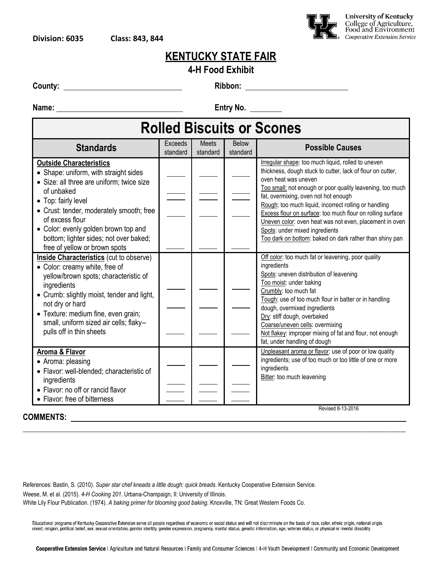

#### **4-H Food Exhibit**

**County: Ribbon:** 

**Name:** <u>**Entry No.** 2014</u>

|  |  | <b>Rolled Biscuits or Scones</b> |
|--|--|----------------------------------|
|--|--|----------------------------------|

| <b>Standards</b>                                                                                                                                                                                                                                                                                                                            | <b>Exceeds</b><br>standard | <b>Meets</b><br>standard | <b>Below</b><br>standard | <b>Possible Causes</b>                                                                                                                                                                                                                                                                                                                                                                                                                                                                                                       |  |  |  |
|---------------------------------------------------------------------------------------------------------------------------------------------------------------------------------------------------------------------------------------------------------------------------------------------------------------------------------------------|----------------------------|--------------------------|--------------------------|------------------------------------------------------------------------------------------------------------------------------------------------------------------------------------------------------------------------------------------------------------------------------------------------------------------------------------------------------------------------------------------------------------------------------------------------------------------------------------------------------------------------------|--|--|--|
| <b>Outside Characteristics</b><br>• Shape: uniform, with straight sides<br>· Size: all three are uniform; twice size<br>of unbaked<br>• Top: fairly level<br>• Crust: tender, moderately smooth; free<br>of excess flour<br>• Color: evenly golden brown top and<br>bottom; lighter sides; not over baked;<br>free of yellow or brown spots |                            |                          |                          | Irregular shape: too much liquid, rolled to uneven<br>thickness, dough stuck to cutter, lack of flour on cutter,<br>oven heat was uneven<br>Too small: not enough or poor quality leavening, too much<br>fat, overmixing, oven not hot enough<br>Rough: too much liquid, incorrect rolling or handling<br>Excess flour on surface: too much flour on rolling surface<br>Uneven color: oven heat was not even, placement in oven<br>Spots: under mixed ingredients<br>Too dark on bottom: baked on dark rather than shiny pan |  |  |  |
| <b>Inside Characteristics</b> (cut to observe)<br>• Color: creamy white, free of<br>yellow/brown spots; characteristic of<br>ingredients<br>• Crumb: slightly moist, tender and light,<br>not dry or hard<br>· Texture: medium fine, even grain;<br>small, uniform sized air cells; flaky--<br>pulls off in thin sheets                     |                            |                          |                          | Off color: too much fat or leavening, poor quality<br>ingredients<br>Spots: uneven distribution of leavening<br>Too moist: under baking<br>Crumbly: too much fat<br>Tough: use of too much flour in batter or in handling<br>dough, overmixed ingredients<br>Dry: stiff dough, overbaked<br>Coarse/uneven cells: overmixing<br>Not flakey: improper mixing of fat and flour, not enough<br>fat, under handling of dough                                                                                                      |  |  |  |
| <b>Aroma &amp; Flavor</b><br>• Aroma: pleasing<br>· Flavor: well-blended; characteristic of<br>ingredients<br>• Flavor: no off or rancid flavor<br>• Flavor: free of bitterness                                                                                                                                                             |                            |                          |                          | Unpleasant aroma or flavor: use of poor or low quality<br>ingredients; use of too much or too little of one or more<br>ingredients<br>Bitter: too much leavening<br>Revised 8-13-2016                                                                                                                                                                                                                                                                                                                                        |  |  |  |

## **COMMENTS:**

Revised 8-13-2016

References: Bastin, S. (2010). *Super star chef kneads a little dough: quick breads*. Kentucky Cooperative Extension Service.

Weese, M. et al. (2015). *4-H Cooking 201*. Urbana-Champaign, Il: University of Illinois.

White Lily Flour Publication. (1974). *A baking primer for blooming good baking*. Knoxville, TN: Great Western Foods Co.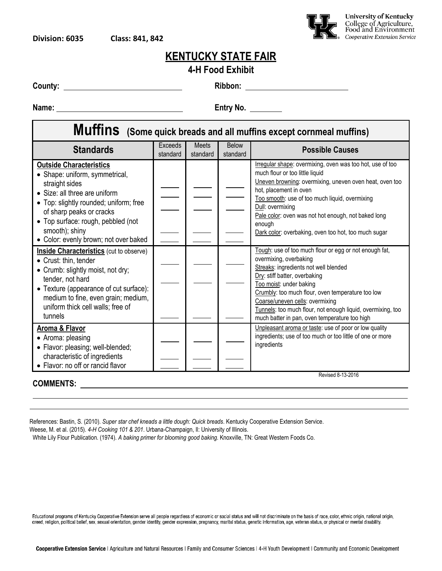

#### **4-H Food Exhibit**

**County: Ribbon:** 

**Name:** <u>**Entry No.** 2014</u>

| Muffins (Some quick breads and all muffins except cornmeal muffins)                                                                                                                                                                                                                                                                                                                                                            |                            |                   |                          |                                                                                                                                                                                                                                                                                                                                                                                                                                                                                                                                                                           |  |  |  |  |  |
|--------------------------------------------------------------------------------------------------------------------------------------------------------------------------------------------------------------------------------------------------------------------------------------------------------------------------------------------------------------------------------------------------------------------------------|----------------------------|-------------------|--------------------------|---------------------------------------------------------------------------------------------------------------------------------------------------------------------------------------------------------------------------------------------------------------------------------------------------------------------------------------------------------------------------------------------------------------------------------------------------------------------------------------------------------------------------------------------------------------------------|--|--|--|--|--|
| <b>Standards</b>                                                                                                                                                                                                                                                                                                                                                                                                               | <b>Exceeds</b><br>standard | Meets<br>standard | <b>Below</b><br>standard | <b>Possible Causes</b>                                                                                                                                                                                                                                                                                                                                                                                                                                                                                                                                                    |  |  |  |  |  |
| <b>Outside Characteristics</b><br>• Shape: uniform, symmetrical,<br>straight sides<br>• Size: all three are uniform<br>• Top: slightly rounded; uniform; free<br>of sharp peaks or cracks<br>• Top surface: rough, pebbled (not<br>smooth); shiny<br>• Color: evenly brown; not over baked<br><b>Inside Characteristics</b> (cut to observe)<br>• Crust: thin, tender<br>• Crumb: slightly moist, not dry;<br>tender, not hard |                            |                   |                          | Irregular shape: overmixing, oven was too hot, use of too<br>much flour or too little liquid<br>Uneven browning: overmixing, uneven oven heat, oven too<br>hot, placement in oven<br>Too smooth: use of too much liquid, overmixing<br>Dull: overmixing<br>Pale color: oven was not hot enough, not baked long<br>enough<br>Dark color: overbaking, oven too hot, too much sugar<br>Tough: use of too much flour or egg or not enough fat,<br>overmixing, overbaking<br>Streaks: ingredients not well blended<br>Dry: stiff batter, overbaking<br>Too moist: under baking |  |  |  |  |  |
| • Texture (appearance of cut surface):<br>medium to fine, even grain; medium,<br>uniform thick cell walls; free of<br>tunnels                                                                                                                                                                                                                                                                                                  |                            |                   |                          | Crumbly: too much flour, oven temperature too low<br>Coarse/uneven cells: overmixing<br>Tunnels: too much flour, not enough liquid, overmixing, too<br>much batter in pan, oven temperature too high                                                                                                                                                                                                                                                                                                                                                                      |  |  |  |  |  |
| Aroma & Flavor<br>• Aroma: pleasing<br>· Flavor: pleasing; well-blended;<br>characteristic of ingredients<br>• Flavor: no off or rancid flavor                                                                                                                                                                                                                                                                                 |                            |                   |                          | Unpleasant aroma or taste: use of poor or low quality<br>ingredients; use of too much or too little of one or more<br>ingredients                                                                                                                                                                                                                                                                                                                                                                                                                                         |  |  |  |  |  |
| <b>COMMENTS:</b>                                                                                                                                                                                                                                                                                                                                                                                                               |                            |                   |                          | Revised 8-13-2016                                                                                                                                                                                                                                                                                                                                                                                                                                                                                                                                                         |  |  |  |  |  |

References: Bastin, S. (2010). *Super star chef kneads a little dough: Quick breads*. Kentucky Cooperative Extension Service.

Weese, M. et al. (2015). *4-H Cooking 101 & 201*. Urbana-Champaign, Il: University of Illinois.

White Lily Flour Publication. (1974). *A baking primer for blooming good baking*. Knoxville, TN: Great Western Foods Co.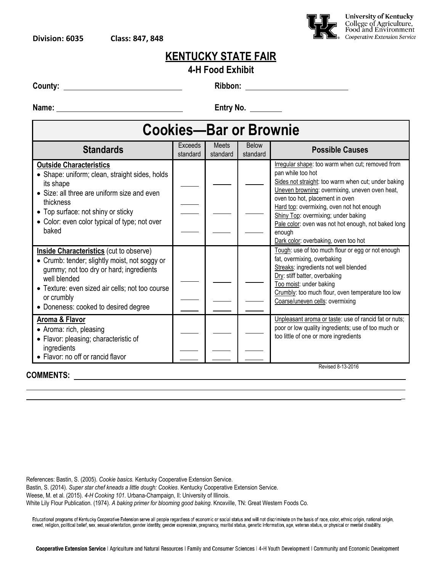

**\_**

### **KENTUCKY STATE FAIR**

#### **4-H Food Exhibit**

**County: Ribbon:** 

**Name:** <u>**Entry No.** 2004. **Entry No.** 2004. **Entry No.** 2004. **Entry No.** 2004. **Entry No.** 2004. **Entry No.** 2006. 2007.</u>

| <b>Cookies-Bar or Brownie</b>                                                                                                                                                                                                                                       |                     |                   |                          |                                                                                                                                                                                                                                                                                                                                                                                                                |  |  |  |  |
|---------------------------------------------------------------------------------------------------------------------------------------------------------------------------------------------------------------------------------------------------------------------|---------------------|-------------------|--------------------------|----------------------------------------------------------------------------------------------------------------------------------------------------------------------------------------------------------------------------------------------------------------------------------------------------------------------------------------------------------------------------------------------------------------|--|--|--|--|
| <b>Standards</b>                                                                                                                                                                                                                                                    | Exceeds<br>standard | Meets<br>standard | <b>Below</b><br>standard | <b>Possible Causes</b>                                                                                                                                                                                                                                                                                                                                                                                         |  |  |  |  |
| <b>Outside Characteristics</b><br>• Shape: uniform; clean, straight sides, holds<br>its shape<br>• Size: all three are uniform size and even<br>thickness<br>• Top surface: not shiny or sticky<br>• Color: even color typical of type; not over<br>baked           |                     |                   |                          | Irregular shape: too warm when cut; removed from<br>pan while too hot<br>Sides not straight: too warm when cut; under baking<br>Uneven browning: overmixing, uneven oven heat,<br>oven too hot, placement in oven<br>Hard top: overmixing, oven not hot enough<br>Shiny Top: overmixing; under baking<br>Pale color: oven was not hot enough, not baked long<br>enough<br>Dark color: overbaking, oven too hot |  |  |  |  |
| <b>Inside Characteristics</b> (cut to observe)<br>• Crumb: tender; slightly moist, not soggy or<br>gummy; not too dry or hard; ingredients<br>well blended<br>• Texture: even sized air cells; not too course<br>or crumbly<br>• Doneness: cooked to desired degree |                     |                   |                          | Tough: use of too much flour or egg or not enough<br>fat, overmixing, overbaking<br>Streaks: ingredients not well blended<br>Dry: stiff batter, overbaking<br>Too moist: under baking<br>Crumbly: too much flour, oven temperature too low<br>Coarse/uneven cells: overmixing                                                                                                                                  |  |  |  |  |
| <b>Aroma &amp; Flavor</b><br>• Aroma: rich, pleasing<br>• Flavor: pleasing; characteristic of<br>ingredients<br>• Flavor: no off or rancid flavor                                                                                                                   |                     |                   |                          | Unpleasant aroma or taste: use of rancid fat or nuts;<br>poor or low quality ingredients; use of too much or<br>too little of one or more ingredients<br>Revised 8-13-2016                                                                                                                                                                                                                                     |  |  |  |  |

**COMMENTS:** 

References: Bastin, S. (2005). *Cookie basics.* Kentucky Cooperative Extension Service. Bastin, S. (2014). *Super star chef kneads a little dough: Cookies*. Kentucky Cooperative Extension Service. Weese, M. et al. (2015). *4-H Cooking 101*. Urbana-Champaign, Il: University of Illinois. White Lily Flour Publication. (1974). *A baking primer for blooming good baking*. Knoxville, TN: Great Western Foods Co.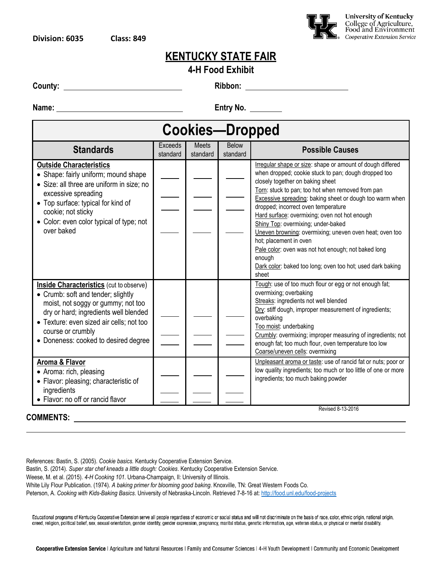

**4-H Food Exhibit**

**County: Ribbon:** 

**Name:** <u>**Entry No.** 2004. **Entry No.** 2004. **Entry No.** 2004. **Entry No.** 2004. **CONSUMIST:** 2006. **Entry No.** 2006. 2007.</u>

| <b>Cookies-Dropped</b>                                                                                                                                                                                                                                                       |                            |                          |                          |                                                                                                                                                                                                                                                                                                                                                                                                                                                                                                                                                                                                                                    |  |  |  |
|------------------------------------------------------------------------------------------------------------------------------------------------------------------------------------------------------------------------------------------------------------------------------|----------------------------|--------------------------|--------------------------|------------------------------------------------------------------------------------------------------------------------------------------------------------------------------------------------------------------------------------------------------------------------------------------------------------------------------------------------------------------------------------------------------------------------------------------------------------------------------------------------------------------------------------------------------------------------------------------------------------------------------------|--|--|--|
| <b>Standards</b>                                                                                                                                                                                                                                                             | <b>Exceeds</b><br>standard | <b>Meets</b><br>standard | <b>Below</b><br>standard | <b>Possible Causes</b>                                                                                                                                                                                                                                                                                                                                                                                                                                                                                                                                                                                                             |  |  |  |
| <b>Outside Characteristics</b><br>• Shape: fairly uniform; mound shape<br>• Size: all three are uniform in size; no<br>excessive spreading<br>• Top surface: typical for kind of<br>cookie; not sticky<br>• Color: even color typical of type; not<br>over baked             |                            |                          |                          | Irregular shape or size: shape or amount of dough differed<br>when dropped; cookie stuck to pan; dough dropped too<br>closely together on baking sheet<br>Torn: stuck to pan; too hot when removed from pan<br>Excessive spreading: baking sheet or dough too warm when<br>dropped; incorrect oven temperature<br>Hard surface: overmixing; oven not hot enough<br>Shiny Top: overmixing; under-baked<br>Uneven browning: overmixing; uneven oven heat; oven too<br>hot; placement in oven<br>Pale color: oven was not hot enough; not baked long<br>enough<br>Dark color: baked too long; oven too hot; used dark baking<br>sheet |  |  |  |
| <b>Inside Characteristics</b> (cut to observe)<br>• Crumb: soft and tender; slightly<br>moist, not soggy or gummy; not too<br>dry or hard; ingredients well blended<br>• Texture: even sized air cells; not too<br>course or crumbly<br>• Doneness: cooked to desired degree |                            |                          |                          | Tough: use of too much flour or egg or not enough fat;<br>overmixing; overbaking<br>Streaks: ingredients not well blended<br>Dry: stiff dough, improper measurement of ingredients;<br>overbaking<br>Too moist: underbaking<br>Crumbly: overmixing; improper measuring of ingredients; not<br>enough fat; too much flour, oven temperature too low<br>Coarse/uneven cells: overmixing                                                                                                                                                                                                                                              |  |  |  |
| Aroma & Flavor<br>• Aroma: rich, pleasing<br>• Flavor: pleasing; characteristic of<br>ingredients<br>• Flavor: no off or rancid flavor                                                                                                                                       |                            |                          |                          | Unpleasant aroma or taste: use of rancid fat or nuts; poor or<br>low quality ingredients; too much or too little of one or more<br>ingredients; too much baking powder                                                                                                                                                                                                                                                                                                                                                                                                                                                             |  |  |  |
| <b>COMMENTS:</b>                                                                                                                                                                                                                                                             |                            |                          |                          | Revised 8-13-2016                                                                                                                                                                                                                                                                                                                                                                                                                                                                                                                                                                                                                  |  |  |  |

References: Bastin, S. (2005). *Cookie basics.* Kentucky Cooperative Extension Service. Bastin, S. (2014). *Super star chef kneads a little dough: Cookies*. Kentucky Cooperative Extension Service.

Weese, M. et al. (2015). *4-H Cooking 101*. Urbana-Champaign, Il: University of Illinois.

White Lily Flour Publication. (1974). *A baking primer for blooming good baking*. Knoxville, TN: Great Western Foods Co.

Peterson, A. *Cooking with Kids-Baking Basics*. University of Nebraska-Lincoln. Retrieved 7-8-16 at[: http://food.unl.edu/food-projects](http://food.unl.edu/food-projects)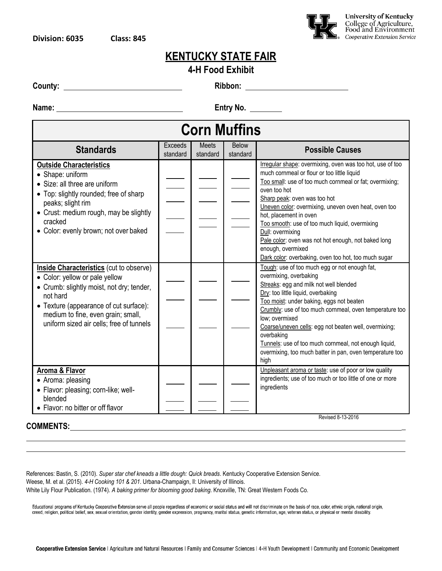

| 4-H Food Exhibit |  |
|------------------|--|
|                  |  |

**County: Ribbon:** 

**Name:** <u>**Entry No.** 2004. **Entry No.** 2004. **Entry No.** 2004. **Entry No.** 2004. **Entry No.** 2004. **Entry No.** 2006. 2007.</u>

| <b>Corn Muffins</b>                                                                                                                                                                                                                                                   |                     |                          |                          |                                                                                                                                                                                                                                                                                                                                                                                                                                                                                                                 |  |  |
|-----------------------------------------------------------------------------------------------------------------------------------------------------------------------------------------------------------------------------------------------------------------------|---------------------|--------------------------|--------------------------|-----------------------------------------------------------------------------------------------------------------------------------------------------------------------------------------------------------------------------------------------------------------------------------------------------------------------------------------------------------------------------------------------------------------------------------------------------------------------------------------------------------------|--|--|
| <b>Standards</b>                                                                                                                                                                                                                                                      | Exceeds<br>standard | <b>Meets</b><br>standard | <b>Below</b><br>standard | <b>Possible Causes</b>                                                                                                                                                                                                                                                                                                                                                                                                                                                                                          |  |  |
| <b>Outside Characteristics</b><br>• Shape: uniform<br>• Size: all three are uniform<br>• Top: slightly rounded; free of sharp<br>peaks; slight rim<br>• Crust: medium rough, may be slightly<br>cracked<br>• Color: evenly brown; not over baked                      |                     |                          |                          | Irregular shape: overmixing, oven was too hot, use of too<br>much cornmeal or flour or too little liquid<br>Too small: use of too much cornmeal or fat; overmixing;<br>oven too hot<br>Sharp peak: oven was too hot<br>Uneven color: overmixing, uneven oven heat, oven too<br>hot, placement in oven<br>Too smooth: use of too much liquid, overmixing<br>Dull: overmixing<br>Pale color: oven was not hot enough, not baked long<br>enough, overmixed<br>Dark color: overbaking, oven too hot, too much sugar |  |  |
| <b>Inside Characteristics</b> (cut to observe)<br>• Color: yellow or pale yellow<br>• Crumb: slightly moist, not dry; tender,<br>not hard<br>• Texture (appearance of cut surface):<br>medium to fine, even grain; small,<br>uniform sized air cells; free of tunnels |                     |                          |                          | Tough: use of too much egg or not enough fat,<br>overmixing, overbaking<br>Streaks: egg and milk not well blended<br>Dry: too little liquid, overbaking<br>Too moist: under baking, eggs not beaten<br>Crumbly: use of too much cornmeal, oven temperature too<br>low; overmixed<br>Coarse/uneven cells: egg not beaten well, overmixing;<br>overbaking<br>Tunnels: use of too much cornmeal, not enough liquid,<br>overmixing, too much batter in pan, oven temperature too<br>high                            |  |  |
| Aroma & Flavor<br>• Aroma: pleasing<br>• Flavor: pleasing; corn-like; well-<br>blended<br>• Flavor: no bitter or off flavor                                                                                                                                           |                     |                          |                          | Unpleasant aroma or taste: use of poor or low quality<br>ingredients; use of too much or too little of one or more<br>ingredients<br>Revised 8-13-2016                                                                                                                                                                                                                                                                                                                                                          |  |  |

#### **COMMENTS: \_**

References: Bastin, S. (2010). *Super star chef kneads a little dough: Quick breads*. Kentucky Cooperative Extension Service. Weese, M. et al. (2015). *4-H Cooking 101 & 201*. Urbana-Champaign, Il: University of Illinois. White Lily Flour Publication. (1974). *A baking primer for blooming good baking*. Knoxville, TN: Great Western Foods Co.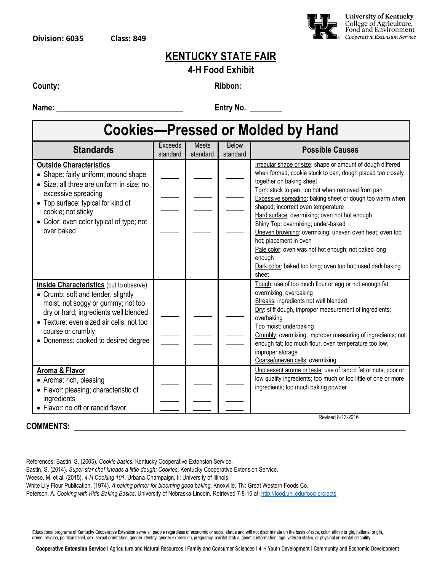

#### **4-H Food Exhibit**

**County: Ribbon:** 

**Name:** <u>**Entry No.** 2006. **The Entry No.** 2006. 2016. **The Entry No.** 2016. 2016. 2017. 2018. 2019. 2019. 2019. 2019. 2019. 2019. 2019. 2019. 2019. 2019. 2019. 2019. 2019. 2019. 2019. 2019. 2019. 2019. 2019. 2019. 2019. 2</u>

# **Cookies—Pressed or Molded by Hand**

| <b>Standards</b>                                                                                                                                                                                                                                                             | <b>Exceeds</b><br>standard | <b>Meets</b><br>standard | Below<br>standard | <b>Possible Causes</b>                                                                                                                                                                                                                                                                                                                                                                                                                                                                                                                                                                                                                 |
|------------------------------------------------------------------------------------------------------------------------------------------------------------------------------------------------------------------------------------------------------------------------------|----------------------------|--------------------------|-------------------|----------------------------------------------------------------------------------------------------------------------------------------------------------------------------------------------------------------------------------------------------------------------------------------------------------------------------------------------------------------------------------------------------------------------------------------------------------------------------------------------------------------------------------------------------------------------------------------------------------------------------------------|
| <b>Outside Characteristics</b><br>• Shape: fairly uniform; mound shape<br>· Size: all three are uniform in size; no<br>excessive spreading<br>• Top surface: typical for kind of<br>cookie; not sticky<br>• Color: even color typical of type; not<br>over baked             |                            |                          |                   | Irregular shape or size: shape or amount of dough differed<br>when formed; cookie stuck to pan; dough placed too closely<br>together on baking sheet<br>Torn: stuck to pan; too hot when removed from pan<br><b>Excessive spreading: baking sheet or dough too warm when</b><br>shaped; incorrect oven temperature<br>Hard surface: overmixing; oven not hot enough<br>Shiny Top: overmixing; under-baked<br>Uneven browning: overmixing; uneven oven heat; oven too<br>hot; placement in oven<br>Pale color: oven was not hot enough; not baked long<br>enough<br>Dark color: baked too long; oven too hot; used dark baking<br>sheet |
| <b>Inside Characteristics</b> (cut to observe)<br>• Crumb: soft and tender; slightly<br>moist, not soggy or gummy; not too<br>dry or hard; ingredients well blended<br>• Texture: even sized air cells; not too<br>course or crumbly<br>• Doneness: cooked to desired degree |                            |                          |                   | Tough: use of too much flour or egg or not enough fat;<br>overmixing; overbaking<br>Streaks: ingredients not well blended<br>Dry: stiff dough, improper measurement of ingredients;<br>overbaking<br>Too moist: underbaking<br>Crumbly: overmixing; improper measuring of ingredients; not<br>enough fat; too much flour, oven temperature too low,<br>improper storage<br>Coarse/uneven cells: overmixing                                                                                                                                                                                                                             |
| Aroma & Flavor<br>• Aroma: rich, pleasing<br>• Flavor: pleasing; characteristic of<br>ingredients<br>• Flavor: no off or rancid flavor                                                                                                                                       |                            |                          |                   | Unpleasant aroma or taste: use of rancid fat or nuts; poor or<br>low quality ingredients; too much or too little of one or more<br>ingredients; too much baking powder<br>Revised 8-13-2016                                                                                                                                                                                                                                                                                                                                                                                                                                            |
|                                                                                                                                                                                                                                                                              |                            |                          |                   |                                                                                                                                                                                                                                                                                                                                                                                                                                                                                                                                                                                                                                        |

**COMMENTS:** 

References: Bastin, S. (2005). *Cookie basics.* Kentucky Cooperative Extension Service.

Bastin, S. (2014). *Super star chef kneads a little dough: Cookies*. Kentucky Cooperative Extension Service.

Weese, M. et al. (2015). *4-H Cooking 101*. Urbana-Champaign, Il: University of Illinois.

White Lily Flour Publication. (1974). *A baking primer for blooming good baking*. Knoxville, TN: Great Western Foods Co.

Peterson, A. *Cooking with Kids-Baking Basics*. University of Nebraska-Lincoln. Retrieved 7-8-16 at[: http://food.unl.edu/food-projects](http://food.unl.edu/food-projects)

Educational programs of Kentucky Cooperative Extension serve all people regardless of economic or social status and will not discriminate on the basis of race, color, ethnic origin, national origin, creed, religion, political belief, sex, sexual orientation, gender identity, gender expression, pregnancy, marital status, genetic information, age, veteran status, or physical or mental disability.

Cooperative Extension Service | Agriculture and Natural Resources | Family and Consumer Sciences | 4-H Youth Development | Community and Economic Development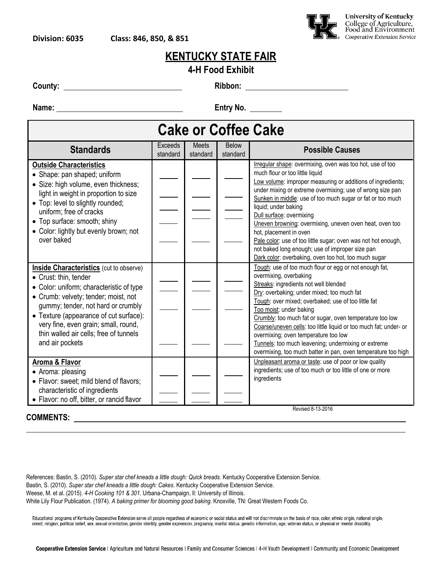

| 4-H Food Exhibit |
|------------------|
|------------------|

**County: Ribbon:** 

**Name: Entry No.** 

| <b>Cake or Coffee Cake</b>                                                                                                                                                                                                                                                                                                                       |                            |                          |                          |                                                                                                                                                                                                                                                                                                                                                                                                                                                                                                                                                                                                             |  |  |  |
|--------------------------------------------------------------------------------------------------------------------------------------------------------------------------------------------------------------------------------------------------------------------------------------------------------------------------------------------------|----------------------------|--------------------------|--------------------------|-------------------------------------------------------------------------------------------------------------------------------------------------------------------------------------------------------------------------------------------------------------------------------------------------------------------------------------------------------------------------------------------------------------------------------------------------------------------------------------------------------------------------------------------------------------------------------------------------------------|--|--|--|
| <b>Standards</b>                                                                                                                                                                                                                                                                                                                                 | <b>Exceeds</b><br>standard | <b>Meets</b><br>standard | <b>Below</b><br>standard | <b>Possible Causes</b>                                                                                                                                                                                                                                                                                                                                                                                                                                                                                                                                                                                      |  |  |  |
| <b>Outside Characteristics</b><br>• Shape: pan shaped; uniform<br>• Size: high volume, even thickness;<br>light in weight in proportion to size<br>• Top: level to slightly rounded;<br>uniform; free of cracks<br>• Top surface: smooth; shiny<br>• Color: lightly but evenly brown; not<br>over baked                                          |                            |                          |                          | Irregular shape: overmixing, oven was too hot, use of too<br>much flour or too little liquid<br>Low volume: improper measuring or additions of ingredients;<br>under mixing or extreme overmixing; use of wrong size pan<br>Sunken in middle: use of too much sugar or fat or too much<br>liquid; under baking<br>Dull surface: overmixing<br>Uneven browning: overmixing, uneven oven heat, oven too<br>hot, placement in oven<br>Pale color: use of too little sugar; oven was not hot enough,<br>not baked long enough; use of improper size pan<br>Dark color: overbaking, oven too hot, too much sugar |  |  |  |
| <b>Inside Characteristics</b> (cut to observe)<br>• Crust: thin, tender<br>• Color: uniform; characteristic of type<br>• Crumb: velvety; tender; moist, not<br>gummy; tender, not hard or crumbly<br>• Texture (appearance of cut surface):<br>very fine, even grain; small, round,<br>thin walled air cells; free of tunnels<br>and air pockets |                            |                          |                          | Tough: use of too much flour or egg or not enough fat,<br>overmixing, overbaking<br>Streaks: ingredients not well blended<br>Dry: overbaking; under mixed; too much fat<br>Tough: over mixed; overbaked; use of too little fat<br>Too moist: under baking<br>Crumbly: too much fat or sugar, oven temperature too low<br>Coarse/uneven cells: too little liquid or too much fat; under- or<br>overmixing; oven temperature too low<br>Tunnels: too much leavening; undermixing or extreme<br>overmixing, too much batter in pan, oven temperature too high                                                  |  |  |  |
| Aroma & Flavor<br>• Aroma: pleasing<br>• Flavor: sweet; mild blend of flavors;<br>characteristic of ingredients<br>• Flavor: no off, bitter, or rancid flavor                                                                                                                                                                                    |                            |                          |                          | Unpleasant aroma or taste: use of poor or low quality<br>ingredients; use of too much or too little of one or more<br>ingredients<br>Revised 8-13-2016                                                                                                                                                                                                                                                                                                                                                                                                                                                      |  |  |  |
| <b>COMMENTS:</b>                                                                                                                                                                                                                                                                                                                                 |                            |                          |                          |                                                                                                                                                                                                                                                                                                                                                                                                                                                                                                                                                                                                             |  |  |  |

References: Bastin, S. (2010). *Super star chef kneads a little dough: Quick breads*. Kentucky Cooperative Extension Service. Bastin, S. (2010). *Super star chef kneads a little dough: Cakes*. Kentucky Cooperative Extension Service. Weese, M. et al. (2015). *4-H Cooking 101 & 301*. Urbana-Champaign, Il: University of Illinois. White Lily Flour Publication. (1974). *A baking primer for blooming good baking*. Knoxville, TN: Great Western Foods Co.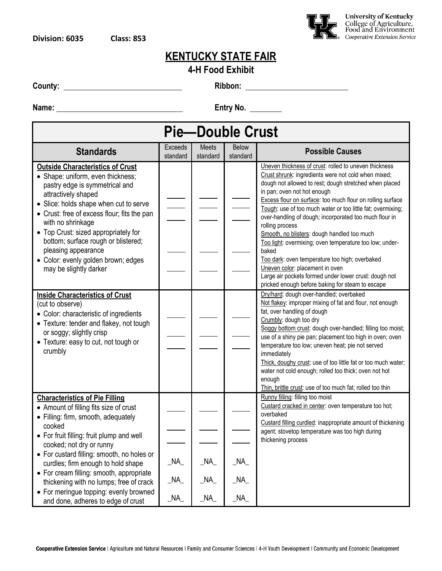

#### **4-H Food Exhibit**

**County:** 2008. 2008. 2012. 2013. 2014. 2015. 2016. 2016. 2016. 2016. 2016. 2016. 2016. 2016. 2016. 2016. 2016. 2016. 2016. 2016. 2016. 2016. 2016. 2016. 2016. 2017. 2017. 2017. 2017. 2017. 2017. 2017. 2017. 2017. 2017. 20

**Name:** <u>**Entry No.** 2004. **Entry** No. 2006. 2007.</u>

| <b>Pie-Double Crust</b>                                                                                                                                                                                                                                                                                                                                                                                                    |                     |                   |                          |                                                                                                                                                                                                                                                                                                                                                                                                                                                                                                                                                                                                                                                                                                                                      |  |  |  |
|----------------------------------------------------------------------------------------------------------------------------------------------------------------------------------------------------------------------------------------------------------------------------------------------------------------------------------------------------------------------------------------------------------------------------|---------------------|-------------------|--------------------------|--------------------------------------------------------------------------------------------------------------------------------------------------------------------------------------------------------------------------------------------------------------------------------------------------------------------------------------------------------------------------------------------------------------------------------------------------------------------------------------------------------------------------------------------------------------------------------------------------------------------------------------------------------------------------------------------------------------------------------------|--|--|--|
| <b>Standards</b>                                                                                                                                                                                                                                                                                                                                                                                                           | Exceeds<br>standard | Meets<br>standard | <b>Below</b><br>standard | <b>Possible Causes</b>                                                                                                                                                                                                                                                                                                                                                                                                                                                                                                                                                                                                                                                                                                               |  |  |  |
| <b>Outside Characteristics of Crust</b><br>• Shape: uniform, even thickness;<br>pastry edge is symmetrical and<br>attractively shaped<br>• Slice: holds shape when cut to serve<br>• Crust: free of excess flour; fits the pan<br>with no shrinkage<br>• Top Crust: sized appropriately for<br>bottom; surface rough or blistered;<br>pleasing appearance<br>· Color: evenly golden brown; edges<br>may be slightly darker |                     |                   |                          | Uneven thickness of crust: rolled to uneven thickness<br>Crust shrunk: ingredients were not cold when mixed;<br>dough not allowed to rest; dough stretched when placed<br>in pan; oven not hot enough<br>Excess flour on surface: too much flour on rolling surface<br>Tough: use of too much water or too little fat; overmixing;<br>over-handling of dough; incorporated too much flour in<br>rolling process<br>Smooth, no blisters: dough handled too much<br>Too light: overmixing; oven temperature too low; under-<br>baked<br>Too dark: oven temperature too high; overbaked<br>Uneven color: placement in oven<br>Large air pockets formed under lower crust: dough not<br>pricked enough before baking for steam to escape |  |  |  |
| <b>Inside Characteristics of Crust</b><br>(cut to observe)<br>• Color: characteristic of ingredients<br>• Texture: tender and flakey, not tough<br>or soggy; slightly crisp<br>• Texture: easy to cut, not tough or<br>crumbly                                                                                                                                                                                             |                     |                   |                          | Dry/hard: dough over-handled; overbaked<br>Not flakey: improper mixing of fat and flour, not enough<br>fat, over handling of dough<br>Crumbly: dough too dry<br>Soggy bottom crust: dough over-handled; filling too moist;<br>use of a shiny pie pan; placement too high in oven; oven<br>temperature too low; uneven heat; pie not served<br>immediately<br>Thick, doughy crust: use of too little fat or too much water;<br>water not cold enough; rolled too thick; oven not hot<br>enough<br>Thin, brittle crust: use of too much fat; rolled too thin                                                                                                                                                                           |  |  |  |
| <b>Characteristics of Pie Filling</b><br>• Amount of filling fits size of crust<br>• Filling: firm, smooth, adequately<br>cooked<br>• For fruit filling: fruit plump and well<br>cooked; not dry or runny                                                                                                                                                                                                                  |                     |                   |                          | Runny filling: filling too moist<br>Custard cracked in center: oven temperature too hot;<br>overbaked<br>Custard filling curdled: inappropriate amount of thickening<br>agent; stovetop temperature was too high during<br>thickening process                                                                                                                                                                                                                                                                                                                                                                                                                                                                                        |  |  |  |
| • For custard filling: smooth, no holes or<br>curdles; firm enough to hold shape<br>• For cream filling: smooth, appropriate                                                                                                                                                                                                                                                                                               | $\_NA$<br>NA        | $\_NA$<br>NA      | $\_NA$<br>$N_A$          |                                                                                                                                                                                                                                                                                                                                                                                                                                                                                                                                                                                                                                                                                                                                      |  |  |  |
| thickening with no lumps; free of crack<br>• For meringue topping: evenly browned<br>and done, adheres to edge of crust                                                                                                                                                                                                                                                                                                    | $\_NA$              | $\_NA$            | $\_NA$                   |                                                                                                                                                                                                                                                                                                                                                                                                                                                                                                                                                                                                                                                                                                                                      |  |  |  |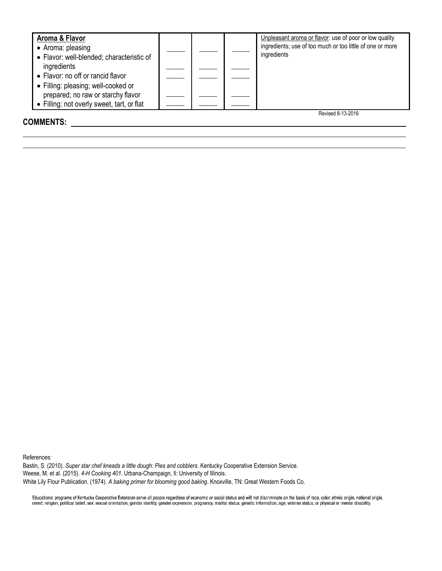| Aroma & Flavor<br>• Aroma: pleasing<br>• Flavor: well-blended; characteristic of<br>ingredients<br>• Flavor: no off or rancid flavor<br>• Filling: pleasing; well-cooked or<br>prepared; no raw or starchy flavor<br>• Filling: not overly sweet, tart, or flat |  | Unpleasant aroma or flavor: use of poor or low quality<br>ingredients; use of too much or too little of one or more<br>ingredients |
|-----------------------------------------------------------------------------------------------------------------------------------------------------------------------------------------------------------------------------------------------------------------|--|------------------------------------------------------------------------------------------------------------------------------------|
| <b>COMMENTS:</b>                                                                                                                                                                                                                                                |  | Revised 8-13-2016                                                                                                                  |

References:

Bastin, S. (2010). *Super star chef kneads a little dough: Pies and cobblers*. Kentucky Cooperative Extension Service. Weese, M. et al. (2015). *4-H Cooking 401*. Urbana-Champaign, Il: University of Illinois. White Lily Flour Publication. (1974). *A baking primer for blooming good baking*. Knoxville, TN: Great Western Foods Co.

Educational programs of Kentucky Cooperative Extension serve all people regardless of economic or social status and will not discriminate on the basis of race, color, ethnic origin, national origin,<br>creed, religion, politi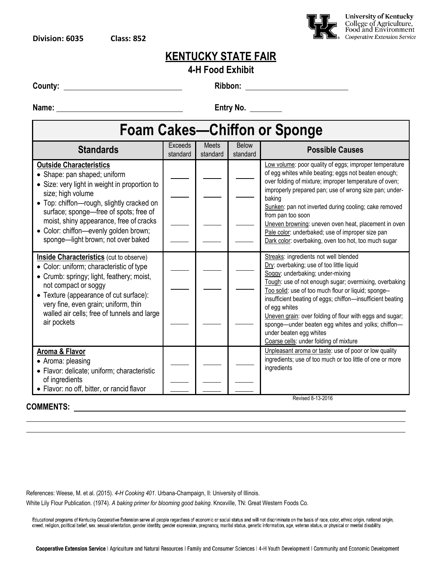

#### **4-H Food Exhibit**

**County: Ribbon:** 

**Name:** <u>**Entry No.** 2014</u>

#### **Foam Cakes—Chiffon or Sponge Standards** Exceeds Exceeds Meets Below

| <b>Standards</b>                                                                                                                                                                                                                                                                                                                                      | LYLEEUS<br>standard | <b>IVICCIO</b><br>standard | DAIOM<br>standard | <b>Possible Causes</b>                                                                                                                                                                                                                                                                                                                                                                                                                                                                                         |
|-------------------------------------------------------------------------------------------------------------------------------------------------------------------------------------------------------------------------------------------------------------------------------------------------------------------------------------------------------|---------------------|----------------------------|-------------------|----------------------------------------------------------------------------------------------------------------------------------------------------------------------------------------------------------------------------------------------------------------------------------------------------------------------------------------------------------------------------------------------------------------------------------------------------------------------------------------------------------------|
| <b>Outside Characteristics</b><br>• Shape: pan shaped; uniform<br>• Size: very light in weight in proportion to<br>size; high volume<br>• Top: chiffon-rough, slightly cracked on<br>surface; sponge—free of spots; free of<br>moist, shiny appearance, free of cracks<br>• Color: chiffon-evenly golden brown;<br>sponge-light brown; not over baked |                     |                            |                   | Low volume: poor quality of eggs; improper temperature<br>of egg whites while beating; eggs not beaten enough;<br>over folding of mixture; improper temperature of oven;<br>improperly prepared pan; use of wrong size pan; under-<br>baking<br>Sunken: pan not inverted during cooling; cake removed<br>from pan too soon<br>Uneven browning: uneven oven heat, placement in oven<br>Pale color: underbaked; use of improper size pan<br>Dark color: overbaking, oven too hot, too much sugar                 |
| <b>Inside Characteristics</b> (cut to observe)<br>• Color: uniform; characteristic of type<br>• Crumb: springy; light, feathery; moist,<br>not compact or soggy<br>• Texture (appearance of cut surface):<br>very fine, even grain; uniform, thin<br>walled air cells; free of tunnels and large<br>air pockets                                       |                     |                            |                   | Streaks: ingredients not well blended<br>Dry: overbaking; use of too little liquid<br>Soggy: underbaking; under-mixing<br>Tough: use of not enough sugar; overmixing, overbaking<br>Too solid: use of too much flour or liquid; sponge--<br>insufficient beating of eggs; chiffon-insufficient beating<br>of egg whites<br>Uneven grain: over folding of flour with eggs and sugar;<br>sponge-under beaten egg whites and yolks; chiffon-<br>under beaten egg whites<br>Coarse cells: under folding of mixture |
| <b>Aroma &amp; Flavor</b><br>• Aroma: pleasing<br>• Flavor: delicate; uniform; characteristic<br>of ingredients<br>• Flavor: no off, bitter, or rancid flavor                                                                                                                                                                                         |                     |                            |                   | Unpleasant aroma or taste: use of poor or low quality<br>ingredients; use of too much or too little of one or more<br>ingredients<br>Revised 8-13-2016                                                                                                                                                                                                                                                                                                                                                         |

#### **COMMENTS:**

Revised 8-13-2016

References: Weese, M. et al. (2015). *4-H Cooking 401*. Urbana-Champaign, Il: University of Illinois.

White Lily Flour Publication. (1974). *A baking primer for blooming good baking*. Knoxville, TN: Great Western Foods Co.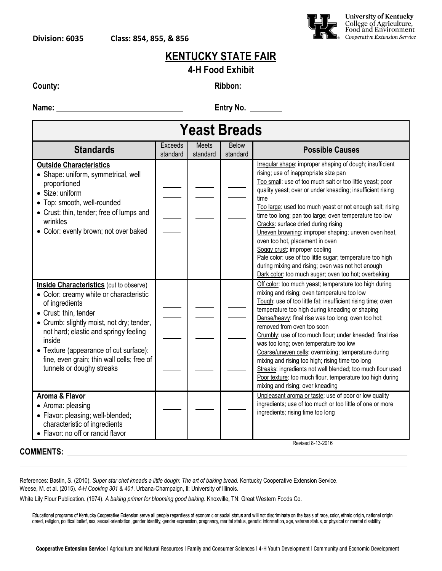

#### **4-H Food Exhibit**

**County: Ribbon:** 

**Name: Entry No.** 

| <b>Yeast Breads</b>                                                                                                                                                                                                                                                                                                                                       |                     |                   |                          |                                                                                                                                                                                                                                                                                                                                                                                                                                                                                                                                                                                                                                                                                                          |
|-----------------------------------------------------------------------------------------------------------------------------------------------------------------------------------------------------------------------------------------------------------------------------------------------------------------------------------------------------------|---------------------|-------------------|--------------------------|----------------------------------------------------------------------------------------------------------------------------------------------------------------------------------------------------------------------------------------------------------------------------------------------------------------------------------------------------------------------------------------------------------------------------------------------------------------------------------------------------------------------------------------------------------------------------------------------------------------------------------------------------------------------------------------------------------|
| <b>Standards</b>                                                                                                                                                                                                                                                                                                                                          | Exceeds<br>standard | Meets<br>standard | <b>Below</b><br>standard | <b>Possible Causes</b>                                                                                                                                                                                                                                                                                                                                                                                                                                                                                                                                                                                                                                                                                   |
| <b>Outside Characteristics</b><br>• Shape: uniform, symmetrical, well<br>proportioned<br>• Size: uniform<br>• Top: smooth, well-rounded<br>• Crust: thin, tender; free of lumps and<br>wrinkles<br>• Color: evenly brown; not over baked                                                                                                                  |                     |                   |                          | Irregular shape: improper shaping of dough; insufficient<br>rising; use of inappropriate size pan<br>Too small: use of too much salt or too little yeast; poor<br>quality yeast; over or under kneading; insufficient rising<br>time<br>Too large: used too much yeast or not enough salt; rising<br>time too long; pan too large; oven temperature too low<br>Cracks: surface dried during rising<br>Uneven browning: improper shaping; uneven oven heat,<br>oven too hot, placement in oven<br>Soggy crust: improper cooling<br>Pale color: use of too little sugar; temperature too high<br>during mixing and rising; oven was not hot enough<br>Dark color: too much sugar; oven too hot; overbaking |
| <b>Inside Characteristics</b> (cut to observe)<br>• Color: creamy white or characteristic<br>of ingredients<br>• Crust: thin, tender<br>• Crumb: slightly moist, not dry; tender,<br>not hard; elastic and springy feeling<br>inside<br>• Texture (appearance of cut surface):<br>fine, even grain; thin wall cells; free of<br>tunnels or doughy streaks |                     |                   |                          | Off color: too much yeast; temperature too high during<br>mixing and rising; oven temperature too low<br>Tough: use of too little fat; insufficient rising time; oven<br>temperature too high during kneading or shaping<br>Dense/heavy: final rise was too long; oven too hot;<br>removed from oven too soon<br>Crumbly: use of too much flour; under kneaded; final rise<br>was too long; oven temperature too low<br>Coarse/uneven cells: overmixing; temperature during<br>mixing and rising too high; rising time too long<br>Streaks: ingredients not well blended; too much flour used<br>Poor texture: too much flour, temperature too high during<br>mixing and rising; over kneading           |
| <b>Aroma &amp; Flavor</b><br>• Aroma: pleasing<br>· Flavor: pleasing; well-blended;<br>characteristic of ingredients<br>• Flavor: no off or rancid flavor                                                                                                                                                                                                 |                     |                   |                          | Unpleasant aroma or taste: use of poor or low quality<br>ingredients; use of too much or too little of one or more<br>ingredients; rising time too long                                                                                                                                                                                                                                                                                                                                                                                                                                                                                                                                                  |

References: Bastin, S. (2010). *Super star chef kneads a little dough: The art of baking bread*. Kentucky Cooperative Extension Service. Weese, M. et al. (2015). *4-H Cooking 301 & 401*. Urbana-Champaign, Il: University of Illinois.

White Lily Flour Publication. (1974). *A baking primer for blooming good baking*. Knoxville, TN: Great Western Foods Co.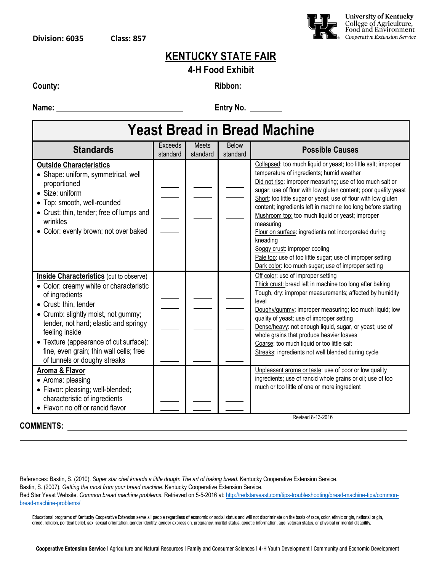

#### **4-H Food Exhibit**

**County:** 2008. **County:** 2008. **Ribbon:** 2008. **Ribbon:** 2008. 2018. 2019. 2019. 2019. 2019. 2019. 2019. 2019. 2019. 2019. 2019. 2019. 2019. 2019. 2019. 2019. 2019. 2019. 2019. 2019. 2019. 2019. 2019. 2019. 2019. 2019. 20

**Name:** <u>**Entry No.** 2006. **Interventional Entry No.** 2006. 2016. 2016. 2016. 2017. 2018. 2019. 2019. 2019. 2019. 2019. 2019. 2019. 2019. 2019. 2019. 2019. 2019. 2019. 2019. 2019. 2019. 2019. 2019. 2019. 2019. 2019. 2019. </u>

#### **Yeast Bread in Bread Machine Standards Exceeds** standard **Meets** standard Below standard **Possible Causes Outside Characteristics** Shape: uniform, symmetrical, well proportioned Size: uniform Top: smooth, well-rounded Crust: thin, tender; free of lumps and wrinkles Color: evenly brown; not over baked Collapsed: too much liquid or yeast; too little salt; improper temperature of ingredients; humid weather Did not rise: improper measuring; use of too much salt or sugar; use of flour with low gluten content; poor quality yeast Short: too little sugar or yeast; use of flour with low gluten content; ingredients left in machine too long before starting Mushroom top: too much liquid or yeast; improper measuring Flour on surface: ingredients not incorporated during kneading Soggy crust: improper cooling Pale top: use of too little sugar; use of improper setting Dark color: too much sugar; use of improper setting **Inside Characteristics** (cut to observe) Color: creamy white or characteristic of ingredients Crust: thin, tender Crumb: slightly moist, not gummy; tender, not hard; elastic and springy feeling inside Texture (appearance of cut surface): fine, even grain; thin wall cells; free of tunnels or doughy streaks Off color: use of improper setting Thick crust: bread left in machine too long after baking Tough, dry: improper measurements; affected by humidity level Doughy/gummy: improper measuring; too much liquid; low quality of yeast; use of improper setting Dense/heavy: not enough liquid, sugar, or yeast; use of whole grains that produce heavier loaves Coarse: too much liquid or too little salt Streaks: ingredients not well blended during cycle **Aroma & Flavor** • Aroma: pleasing • Flavor: pleasing; well-blended; characteristic of ingredients • Flavor: no off or rancid flavor Unpleasant aroma or taste: use of poor or low quality ingredients; use of rancid whole grains or oil; use of too much or too little of one or more ingredient Revised 8-13-2016

#### **COMMENTS:**

References: Bastin, S. (2010). *Super star chef kneads a little dough: The art of baking bread*. Kentucky Cooperative Extension Service. Bastin, S. (2007). *Getting the most from your bread machine*. Kentucky Cooperative Extension Service. Red Star Yeast Website. *Common bread machine problems*. Retrieved on 5-5-2016 at[: http://redstaryeast.com/tips-troubleshooting/bread-machine-tips/common](http://redstaryeast.com/tips-troubleshooting/bread-machine-tips/common-bread-machine-problems/)[bread-machine-problems/](http://redstaryeast.com/tips-troubleshooting/bread-machine-tips/common-bread-machine-problems/)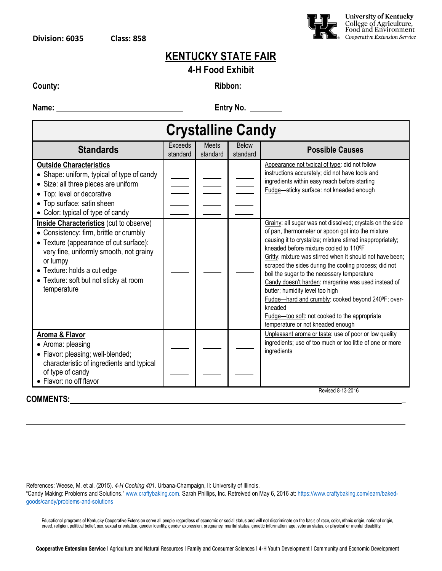

|  |  | <b>4-H Food Exhibit</b> |
|--|--|-------------------------|
|--|--|-------------------------|

**County: Ribbon:** 

**Name: Entry No.** 

| <b>Crystalline Candy</b>                                                                                                                                                                                                                                                           |                            |                          |                          |                                                                                                                                                                                                                                                                                                                                                                                                                                                                                                                                                                                                                                                           |
|------------------------------------------------------------------------------------------------------------------------------------------------------------------------------------------------------------------------------------------------------------------------------------|----------------------------|--------------------------|--------------------------|-----------------------------------------------------------------------------------------------------------------------------------------------------------------------------------------------------------------------------------------------------------------------------------------------------------------------------------------------------------------------------------------------------------------------------------------------------------------------------------------------------------------------------------------------------------------------------------------------------------------------------------------------------------|
| <b>Standards</b>                                                                                                                                                                                                                                                                   | <b>Exceeds</b><br>standard | <b>Meets</b><br>standard | <b>Below</b><br>standard | <b>Possible Causes</b>                                                                                                                                                                                                                                                                                                                                                                                                                                                                                                                                                                                                                                    |
| <b>Outside Characteristics</b><br>• Shape: uniform, typical of type of candy<br>• Size: all three pieces are uniform<br>• Top: level or decorative<br>• Top surface: satin sheen<br>• Color: typical of type of candy                                                              |                            |                          |                          | Appearance not typical of type: did not follow<br>instructions accurately; did not have tools and<br>ingredients within easy reach before starting<br>Fudge-sticky surface: not kneaded enough                                                                                                                                                                                                                                                                                                                                                                                                                                                            |
| <b>Inside Characteristics</b> (cut to observe)<br>• Consistency: firm, brittle or crumbly<br>• Texture (appearance of cut surface):<br>very fine, uniformly smooth, not grainy<br>or lumpy<br>• Texture: holds a cut edge<br>• Texture: soft but not sticky at room<br>temperature |                            |                          |                          | Grainy: all sugar was not dissolved; crystals on the side<br>of pan, thermometer or spoon got into the mixture<br>causing it to crystalize; mixture stirred inappropriately;<br>kneaded before mixture cooled to 110 <sup>o</sup> F<br>Gritty: mixture was stirred when it should not have been;<br>scraped the sides during the cooling process; did not<br>boil the sugar to the necessary temperature<br>Candy doesn't harden: margarine was used instead of<br>butter; humidity level too high<br>Fudge-hard and crumbly: cooked beyond 240°F; over-<br>kneaded<br>Fudge-too soft: not cooked to the appropriate<br>temperature or not kneaded enough |
| <b>Aroma &amp; Flavor</b><br>• Aroma: pleasing<br>· Flavor: pleasing; well-blended;<br>characteristic of ingredients and typical<br>of type of candy<br>· Flavor: no off flavor                                                                                                    |                            |                          |                          | Unpleasant aroma or taste: use of poor or low quality<br>ingredients; use of too much or too little of one or more<br>ingredients                                                                                                                                                                                                                                                                                                                                                                                                                                                                                                                         |
| Revised 8-13-2016<br><b>COMMENTS:</b>                                                                                                                                                                                                                                              |                            |                          |                          |                                                                                                                                                                                                                                                                                                                                                                                                                                                                                                                                                                                                                                                           |

References: Weese, M. et al. (2015). *4-H Cooking 401*. Urbana-Champaign, Il: University of Illinois.

"Candy Making: Problems and Solutions." [www.craftybaking.com.](http://www.craftybaking.com/) Sarah Phillips, Inc. Retreived on May 6, 2016 at[: https://www.craftybaking.com/learn/baked](https://www.craftybaking.com/learn/baked-goods/candy/problems-and-solutions)[goods/candy/problems-and-solutions](https://www.craftybaking.com/learn/baked-goods/candy/problems-and-solutions)

Educational programs of Kentucky Cooperative Extension serve all people regardless of economic or social status and will not discriminate on the basis of race, color, ethnic origin, national origin, national origin,<br>creed,